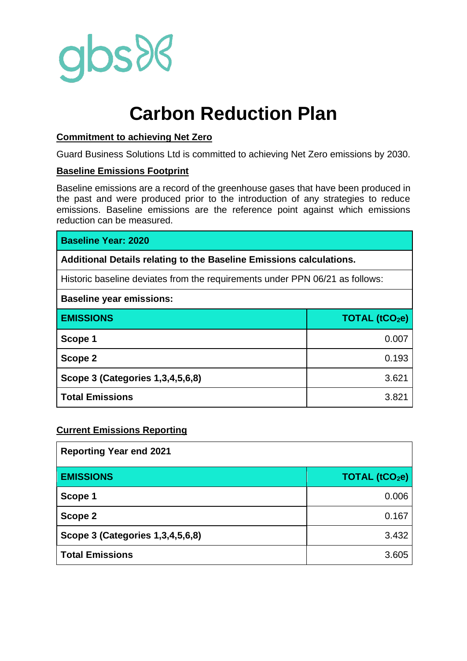

# **Carbon Reduction Plan**

### **Commitment to achieving Net Zero**

Guard Business Solutions Ltd is committed to achieving Net Zero emissions by 2030.

#### **Baseline Emissions Footprint**

Baseline emissions are a record of the greenhouse gases that have been produced in the past and were produced prior to the introduction of any strategies to reduce emissions. Baseline emissions are the reference point against which emissions reduction can be measured.

# **Baseline Year: 2020**

**Additional Details relating to the Baseline Emissions calculations.**

Historic baseline deviates from the requirements under PPN 06/21 as follows:

# $\overline{z}$  and 8 are included 1, 3 and 8 are included 1, 3 and 8 are included 1, 3 and 8 are included 1, 3 and 8 are included 1, 3 and 8 and 8 and 8 and 8 and 8 and 8 and 8 and 8 and 8 and 8 and 8 and 8 and 8 and 8 and 8 an

| <b>Baseline year emissions:</b>  |               |
|----------------------------------|---------------|
| <b>EMISSIONS</b>                 | TOTAL (tCO2e) |
| Scope 1                          | 0.007         |
| Scope 2                          | 0.193         |
| Scope 3 (Categories 1,3,4,5,6,8) | 3.621         |
| <b>Total Emissions</b>           | 3.821         |

#### **Current Emissions Reporting**

| <b>Reporting Year end 2021</b>   |                      |
|----------------------------------|----------------------|
| <b>EMISSIONS</b>                 | <b>TOTAL (tCO2e)</b> |
| Scope 1                          | 0.006                |
| Scope 2                          | 0.167                |
| Scope 3 (Categories 1,3,4,5,6,8) | 3.432                |
| <b>Total Emissions</b>           | 3.605                |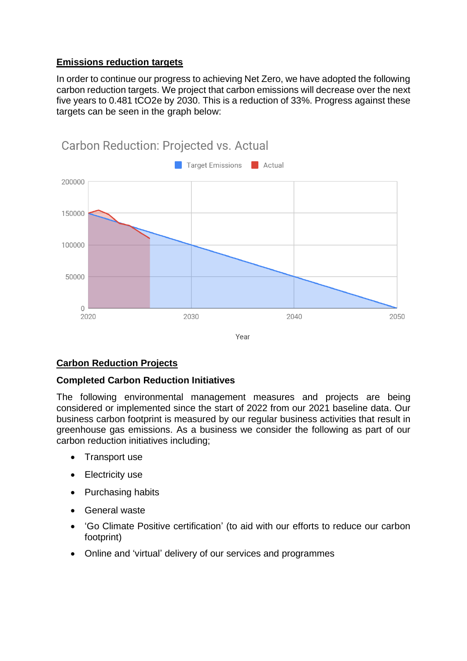# **Emissions reduction targets**

In order to continue our progress to achieving Net Zero, we have adopted the following carbon reduction targets. We project that carbon emissions will decrease over the next five years to 0.481 tCO2e by 2030. This is a reduction of 33%. Progress against these targets can be seen in the graph below:



# **Carbon Reduction Projects**

#### **Completed Carbon Reduction Initiatives**

The following environmental management measures and projects are being considered or implemented since the start of 2022 from our 2021 baseline data. Our business carbon footprint is measured by our regular business activities that result in greenhouse gas emissions. As a business we consider the following as part of our carbon reduction initiatives including;

- Transport use
- Electricity use
- Purchasing habits
- General waste
- 'Go Climate Positive certification' (to aid with our efforts to reduce our carbon footprint)
- Online and 'virtual' delivery of our services and programmes